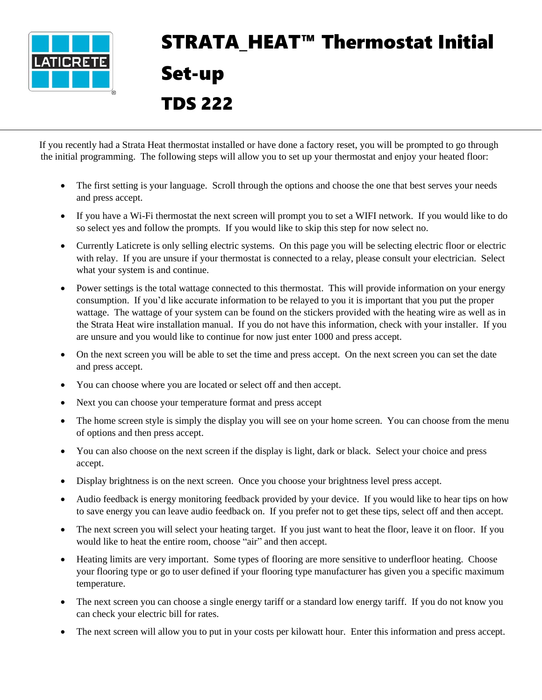

## STRATA HEAT<sup>™</sup> Thermostat Initial Set-up TDS 222

 If you recently had a Strata Heat thermostat installed or have done a factory reset, you will be prompted to go through the initial programming. The following steps will allow you to set up your thermostat and enjoy your heated floor:

- The first setting is your language. Scroll through the options and choose the one that best serves your needs and press accept.
- If you have a Wi-Fi thermostat the next screen will prompt you to set a WIFI network. If you would like to do so select yes and follow the prompts. If you would like to skip this step for now select no.
- Currently Laticrete is only selling electric systems. On this page you will be selecting electric floor or electric with relay. If you are unsure if your thermostat is connected to a relay, please consult your electrician. Select what your system is and continue.
- Power settings is the total wattage connected to this thermostat. This will provide information on your energy consumption. If you'd like accurate information to be relayed to you it is important that you put the proper wattage. The wattage of your system can be found on the stickers provided with the heating wire as well as in the Strata Heat wire installation manual. If you do not have this information, check with your installer. If you are unsure and you would like to continue for now just enter 1000 and press accept.
- On the next screen you will be able to set the time and press accept. On the next screen you can set the date and press accept.
- You can choose where you are located or select off and then accept.
- Next you can choose your temperature format and press accept
- The home screen style is simply the display you will see on your home screen. You can choose from the menu of options and then press accept.
- You can also choose on the next screen if the display is light, dark or black. Select your choice and press accept.
- Display brightness is on the next screen. Once you choose your brightness level press accept.
- Audio feedback is energy monitoring feedback provided by your device. If you would like to hear tips on how to save energy you can leave audio feedback on. If you prefer not to get these tips, select off and then accept.
- The next screen you will select your heating target. If you just want to heat the floor, leave it on floor. If you would like to heat the entire room, choose "air" and then accept.
- Heating limits are very important. Some types of flooring are more sensitive to underfloor heating. Choose your flooring type or go to user defined if your flooring type manufacturer has given you a specific maximum temperature.
- The next screen you can choose a single energy tariff or a standard low energy tariff. If you do not know you can check your electric bill for rates.
- The next screen will allow you to put in your costs per kilowatt hour. Enter this information and press accept.